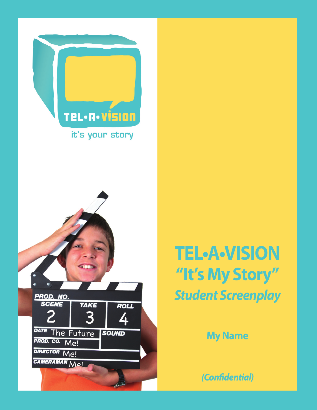



# **TEL•A•VISION "It's My Story"** *Student Screenplay*

**My Name**

*(Confidential)*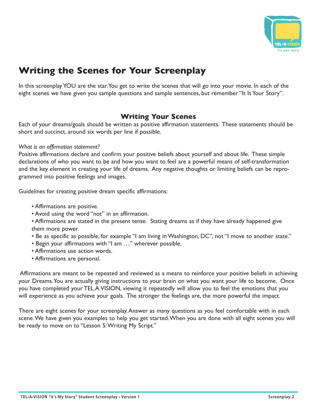

## **Writing the Scenes for Your Screenplay**

In this screenplay YOU are the star. You get to write the scenes that will go into your movie. In each of the eight scenes we have given you sample questions and sample sentences, but remember "It Is Your Story".

#### **Writing Your Scenes**

Each of your dreams/goals should be written as positive affirmation statements. These statements should be short and succinct, around six words per line if possible.

#### *What is an affirmation statement?*

Positive affirmations declare and confirm your positive beliefs about yourself and about life. These simple declarations of who you want to be and how you want to feel are a powerful means of self-transformation and the key element in creating your life of dreams. Any negative thoughts or limiting beliefs can be reprogrammed into positive feelings and images.

Guidelines for creating positive dream specific affirmations:

- Affirmations are positive.
- Avoid using the word "not" in an affirmation.
- Affirmations are stated in the present tense. Stating dreams as if they have already happened give them more power.
- Be as specific as possible, for example "I am living in Washington, DC", not "I move to another state."
- Begin your affirmations with "I am …" wherever possible.
- Affirmations use action words.
- Affirmations are personal.

 Affirmations are meant to be repeated and reviewed as a means to reinforce your positive beliefs in achieving your Dreams. You are actually giving instructions to your brain on what you want your life to become. Once you have completed your TEL.A.VISION, viewing it repeatedly will allow you to feel the emotions that you will experience as you achieve your goals. The stronger the feelings are, the more powerful the impact.

There are eight scenes for your screenplay. Answer as many questions as you feel comfortable with in each scene. We have given you examples to help you get started. When you are done with all eight scenes you will be ready to move on to "Lesson 5: Writing My Script."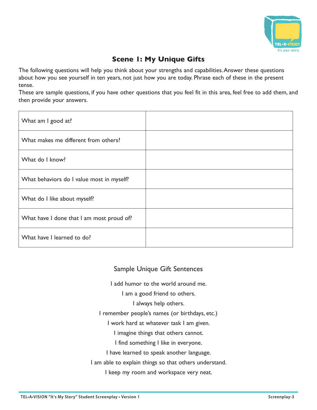

## **Scene 1: My Unique Gifts**

The following questions will help you think about your strengths and capabilities. Answer these questions about how you see yourself in ten years, not just how you are today. Phrase each of these in the present tense.

These are sample questions, if you have other questions that you feel fit in this area, feel free to add them, and then provide your answers.

| What am I good at?                        |  |
|-------------------------------------------|--|
| What makes me different from others?      |  |
| What do I know?                           |  |
| What behaviors do I value most in myself? |  |
| What do I like about myself?              |  |
| What have I done that I am most proud of? |  |
| What have I learned to do?                |  |

#### Sample Unique Gift Sentences

I add humor to the world around me.

I am a good friend to others.

I always help others.

I remember people's names (or birthdays, etc.)

I work hard at whatever task I am given.

I imagine things that others cannot.

I find something I like in everyone.

I have learned to speak another language.

I am able to explain things so that others understand.

I keep my room and workspace very neat.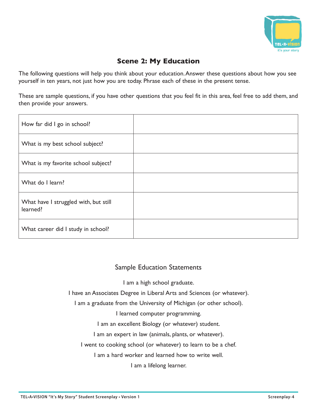

## **Scene 2: My Education**

The following questions will help you think about your education. Answer these questions about how you see yourself in ten years, not just how you are today. Phrase each of these in the present tense.

These are sample questions, if you have other questions that you feel fit in this area, feel free to add them, and then provide your answers.

| How far did I go in school?                       |  |
|---------------------------------------------------|--|
| What is my best school subject?                   |  |
| What is my favorite school subject?               |  |
| What do I learn?                                  |  |
| What have I struggled with, but still<br>learned? |  |
| What career did I study in school?                |  |

#### Sample Education Statements

I am a high school graduate.

I have an Associates Degree in Liberal Arts and Sciences (or whatever).

I am a graduate from the University of Michigan (or other school).

I learned computer programming.

I am an excellent Biology (or whatever) student.

I am an expert in law (animals, plants, or whatever).

I went to cooking school (or whatever) to learn to be a chef.

I am a hard worker and learned how to write well.

I am a lifelong learner.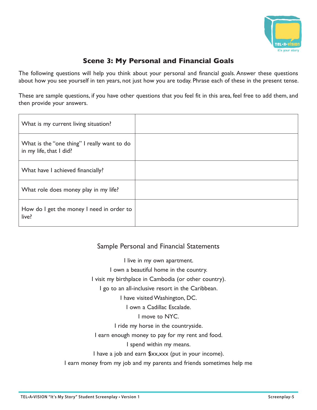

#### **Scene 3: My Personal and Financial Goals**

The following questions will help you think about your personal and financial goals. Answer these questions about how you see yourself in ten years, not just how you are today. Phrase each of these in the present tense.

These are sample questions, if you have other questions that you feel fit in this area, feel free to add them, and then provide your answers.

| What is my current living situation?                                   |  |
|------------------------------------------------------------------------|--|
| What is the "one thing" I really want to do<br>in my life, that I did? |  |
| What have I achieved financially?                                      |  |
| What role does money play in my life?                                  |  |
| How do I get the money I need in order to<br>live?                     |  |

#### Sample Personal and Financial Statements

I live in my own apartment. I own a beautiful home in the country. I visit my birthplace in Cambodia (or other country). I go to an all-inclusive resort in the Caribbean. I have visited Washington, DC. I own a Cadillac Escalade. I move to NYC. I ride my horse in the countryside. I earn enough money to pay for my rent and food. I spend within my means. I have a job and earn \$xx,xxx (put in your income). I earn money from my job and my parents and friends sometimes help me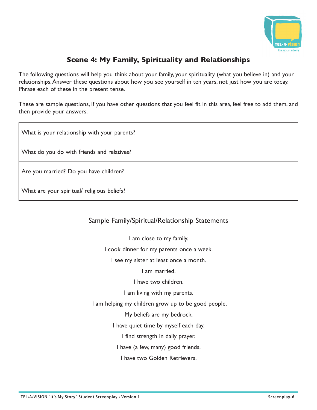

## **Scene 4: My Family, Spirituality and Relationships**

The following questions will help you think about your family, your spirituality (what you believe in) and your relationships. Answer these questions about how you see yourself in ten years, not just how you are today. Phrase each of these in the present tense.

These are sample questions, if you have other questions that you feel fit in this area, feel free to add them, and then provide your answers.

| What is your relationship with your parents? |  |
|----------------------------------------------|--|
| What do you do with friends and relatives?   |  |
| Are you married? Do you have children?       |  |
| What are your spiritual/ religious beliefs?  |  |

#### Sample Family/Spiritual/Relationship Statements

I am close to my family. I cook dinner for my parents once a week. I see my sister at least once a month. I am married. I have two children. I am living with my parents. I am helping my children grow up to be good people. My beliefs are my bedrock. I have quiet time by myself each day. I find strength in daily prayer. I have (a few, many) good friends. I have two Golden Retrievers.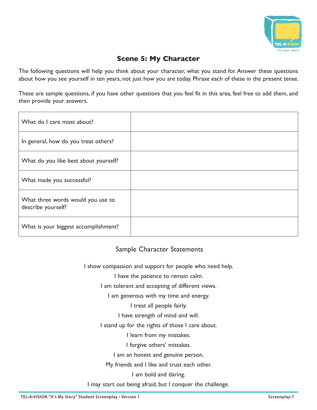

#### **Scene 5: My Character**

The following questions will help you think about your character, what you stand for. Answer these questions about how you see yourself in ten years, not just how you are today. Phrase each of these in the present tense.

These are sample questions, if you have other questions that you feel fit in this area, feel free to add them, and then provide your answers.

| What do I care most about?                              |  |
|---------------------------------------------------------|--|
| In general, how do you treat others?                    |  |
| What do you like best about yourself?                   |  |
| What made you successful?                               |  |
| What three words would you use to<br>describe yourself? |  |
| What is your biggest accomplishment?                    |  |

#### Sample Character Statements

I show compassion and support for people who need help.

I have the patience to remain calm.

I am tolerant and accepting of different views.

I am generous with my time and energy.

I treat all people fairly.

I have strength of mind and will.

I stand up for the rights of those I care about.

I learn from my mistakes.

I forgive others' mistakes.

I am an honest and genuine person.

My friends and I like and trust each other.

I am bold and daring.

I may start out being afraid, but I conquer the challenge.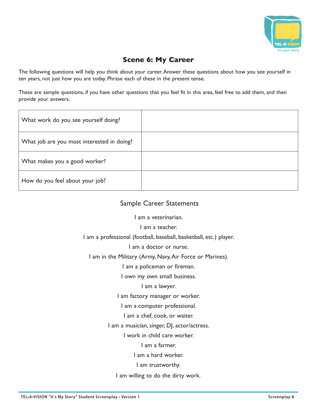

#### **Scene 6: My Career**

The following questions will help you think about your career. Answer these questions about how you see yourself in ten years, not just how you are today. Phrase each of these in the present tense.

These are sample questions, if you have other questions that you feel fit in this area, feel free to add them, and then provide your answers.

| What work do you see yourself doing?       |  |
|--------------------------------------------|--|
| What job are you most interested in doing? |  |
| What makes you a good worker?              |  |
| How do you feel about your job?            |  |

#### Sample Career Statements

I am a veterinarian.

I am a teacher.

I am a professional (football, baseball, basketball, etc.) player.

I am a doctor or nurse.

I am in the Military (Army, Navy, Air Force or Marines).

I am a policeman or fireman.

I own my own small business.

I am a lawyer.

I am factory manager or worker.

I am a computer professional.

I am a chef, cook, or waiter.

I am a musician, singer, DJ, actor/actress.

I work in child care worker.

I am a farmer.

I am a hard worker.

I am trustworthy.

I am willing to do the dirty work.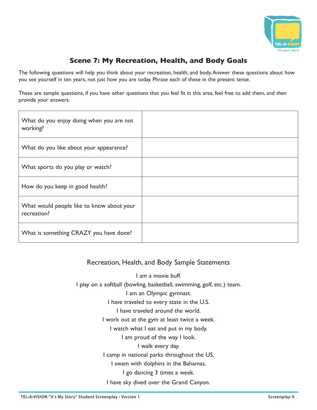

## **Scene 7: My Recreation, Health, and Body Goals**

The following questions will help you think about your recreation, health, and body. Answer these questions about how you see yourself in ten years, not just how you are today. Phrase each of these in the present tense.

These are sample questions, if you have other questions that you feel fit in this area, feel free to add them, and then provide your answers.

| What do you enjoy doing when you are not<br>working?     |  |
|----------------------------------------------------------|--|
| What do you like about your appearance?                  |  |
| What sports do you play or watch?                        |  |
| How do you keep in good health?                          |  |
| What would people like to know about your<br>recreation? |  |
| What is something CRAZY you have done?                   |  |

#### Recreation, Health, and Body Sample Statements

I am a movie buff. I play on a softball (bowling, basketball, swimming, golf, etc.) team. I am an Olympic gymnast. I have traveled to every state in the U.S. I have traveled around the world. I work out at the gym at least twice a week. I watch what I eat and put in my body. I am proud of the way I look. I walk every day. I camp in national parks throughout the US. I swam with dolphins in the Bahamas. I go dancing 3 times a week. I have sky dived over the Grand Canyon.